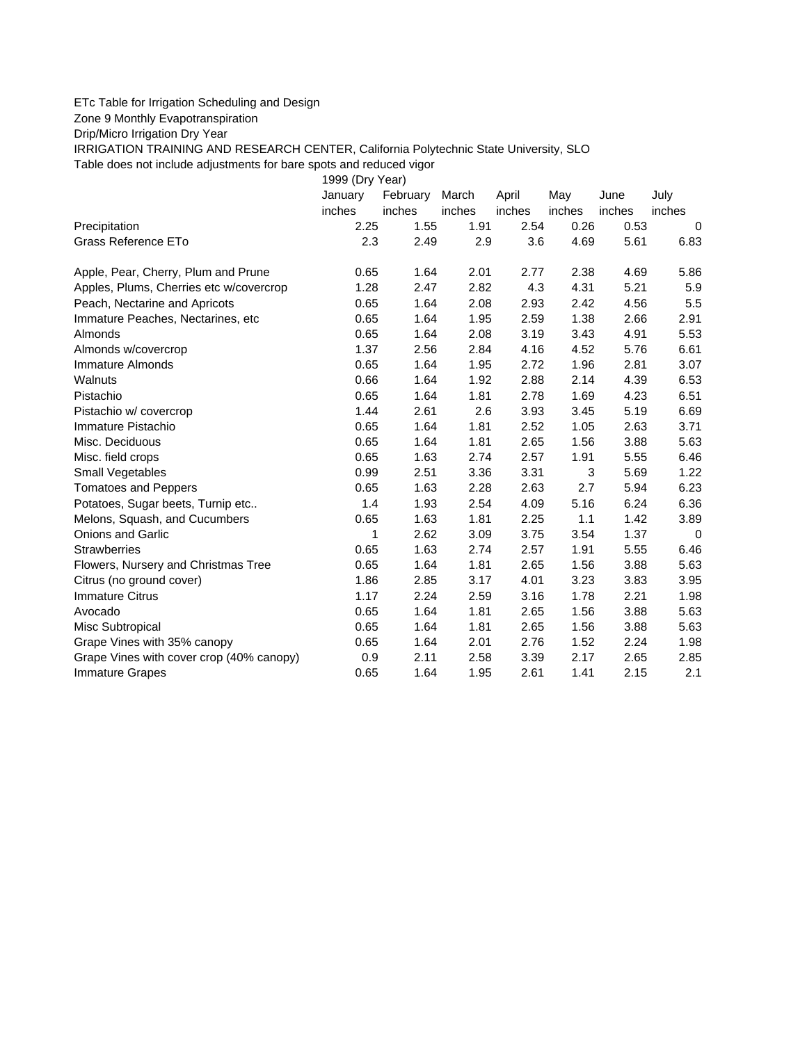## ETc Table for Irrigation Scheduling and Design

Zone 9 Monthly Evapotranspiration

Drip/Micro Irrigation Dry Year

IRRIGATION TRAINING AND RESEARCH CENTER, California Polytechnic State University, SLO

Table does not include adjustments for bare spots and reduced vigor

| Table does not include adjustments for bare spots and reduced vigor |                 |          |        |        |        |        |             |
|---------------------------------------------------------------------|-----------------|----------|--------|--------|--------|--------|-------------|
|                                                                     | 1999 (Dry Year) |          |        |        |        |        |             |
|                                                                     | January         | February | March  | April  | May    | June   | July        |
|                                                                     | inches          | inches   | inches | inches | inches | inches | inches      |
| Precipitation                                                       | 2.25            | 1.55     | 1.91   | 2.54   | 0.26   | 0.53   | 0           |
| Grass Reference ETo                                                 | 2.3             | 2.49     | 2.9    | 3.6    | 4.69   | 5.61   | 6.83        |
| Apple, Pear, Cherry, Plum and Prune                                 | 0.65            | 1.64     | 2.01   | 2.77   | 2.38   | 4.69   | 5.86        |
| Apples, Plums, Cherries etc w/covercrop                             | 1.28            | 2.47     | 2.82   | 4.3    | 4.31   | 5.21   | 5.9         |
| Peach, Nectarine and Apricots                                       | 0.65            | 1.64     | 2.08   | 2.93   | 2.42   | 4.56   | 5.5         |
| Immature Peaches, Nectarines, etc                                   | 0.65            | 1.64     | 1.95   | 2.59   | 1.38   | 2.66   | 2.91        |
| Almonds                                                             | 0.65            | 1.64     | 2.08   | 3.19   | 3.43   | 4.91   | 5.53        |
| Almonds w/covercrop                                                 | 1.37            | 2.56     | 2.84   | 4.16   | 4.52   | 5.76   | 6.61        |
| Immature Almonds                                                    | 0.65            | 1.64     | 1.95   | 2.72   | 1.96   | 2.81   | 3.07        |
| Walnuts                                                             | 0.66            | 1.64     | 1.92   | 2.88   | 2.14   | 4.39   | 6.53        |
| Pistachio                                                           | 0.65            | 1.64     | 1.81   | 2.78   | 1.69   | 4.23   | 6.51        |
| Pistachio w/ covercrop                                              | 1.44            | 2.61     | 2.6    | 3.93   | 3.45   | 5.19   | 6.69        |
| Immature Pistachio                                                  | 0.65            | 1.64     | 1.81   | 2.52   | 1.05   | 2.63   | 3.71        |
| Misc. Deciduous                                                     | 0.65            | 1.64     | 1.81   | 2.65   | 1.56   | 3.88   | 5.63        |
| Misc. field crops                                                   | 0.65            | 1.63     | 2.74   | 2.57   | 1.91   | 5.55   | 6.46        |
| Small Vegetables                                                    | 0.99            | 2.51     | 3.36   | 3.31   | 3      | 5.69   | 1.22        |
| <b>Tomatoes and Peppers</b>                                         | 0.65            | 1.63     | 2.28   | 2.63   | 2.7    | 5.94   | 6.23        |
| Potatoes, Sugar beets, Turnip etc                                   | 1.4             | 1.93     | 2.54   | 4.09   | 5.16   | 6.24   | 6.36        |
| Melons, Squash, and Cucumbers                                       | 0.65            | 1.63     | 1.81   | 2.25   | 1.1    | 1.42   | 3.89        |
| <b>Onions and Garlic</b>                                            | 1               | 2.62     | 3.09   | 3.75   | 3.54   | 1.37   | $\mathbf 0$ |
| <b>Strawberries</b>                                                 | 0.65            | 1.63     | 2.74   | 2.57   | 1.91   | 5.55   | 6.46        |
| Flowers, Nursery and Christmas Tree                                 | 0.65            | 1.64     | 1.81   | 2.65   | 1.56   | 3.88   | 5.63        |
| Citrus (no ground cover)                                            | 1.86            | 2.85     | 3.17   | 4.01   | 3.23   | 3.83   | 3.95        |
| <b>Immature Citrus</b>                                              | 1.17            | 2.24     | 2.59   | 3.16   | 1.78   | 2.21   | 1.98        |
| Avocado                                                             | 0.65            | 1.64     | 1.81   | 2.65   | 1.56   | 3.88   | 5.63        |
| Misc Subtropical                                                    | 0.65            | 1.64     | 1.81   | 2.65   | 1.56   | 3.88   | 5.63        |
| Grape Vines with 35% canopy                                         | 0.65            | 1.64     | 2.01   | 2.76   | 1.52   | 2.24   | 1.98        |
| Grape Vines with cover crop (40% canopy)                            | 0.9             | 2.11     | 2.58   | 3.39   | 2.17   | 2.65   | 2.85        |
| <b>Immature Grapes</b>                                              | 0.65            | 1.64     | 1.95   | 2.61   | 1.41   | 2.15   | 2.1         |
|                                                                     |                 |          |        |        |        |        |             |